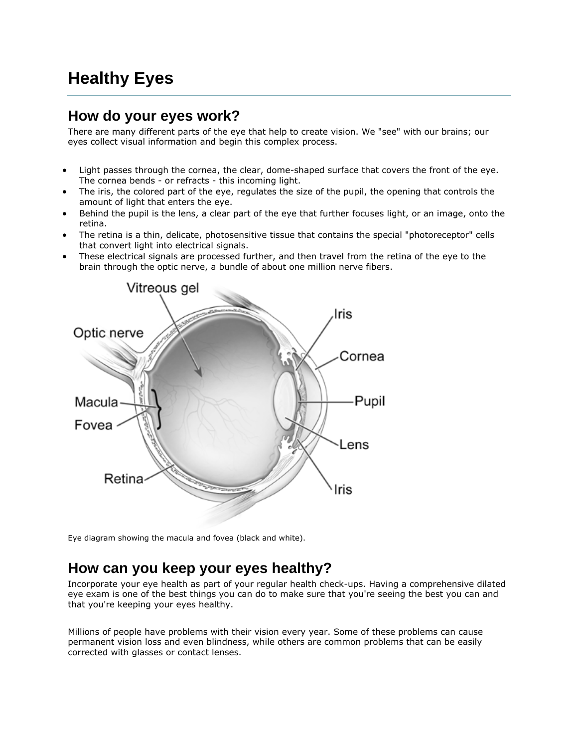# **Healthy Eyes**

#### **How do your eyes work?**

There are many different parts of the eye that help to create vision. We "see" with our brains; our eyes collect visual information and begin this complex process.

- Light passes through the cornea, the clear, dome-shaped surface that covers the front of the eye. The cornea bends - or refracts - this incoming light.
- The iris, the colored part of the eye, regulates the size of the pupil, the opening that controls the amount of light that enters the eye.
- Behind the pupil is the lens, a clear part of the eye that further focuses light, or an image, onto the retina.
- The retina is a thin, delicate, photosensitive tissue that contains the special "photoreceptor" cells that convert light into electrical signals.
- These electrical signals are processed further, and then travel from the retina of the eye to the brain through the optic nerve, a bundle of about one million nerve fibers.



Eye diagram showing the macula and fovea (black and white).

#### **How can you keep your eyes healthy?**

Incorporate your eye health as part of your regular health check-ups. Having a comprehensive dilated eye exam is one of the best things you can do to make sure that you're seeing the best you can and that you're keeping your eyes healthy.

Millions of people have problems with their vision every year. Some of these problems can cause permanent vision loss and even blindness, while others are common problems that can be easily corrected with glasses or contact lenses.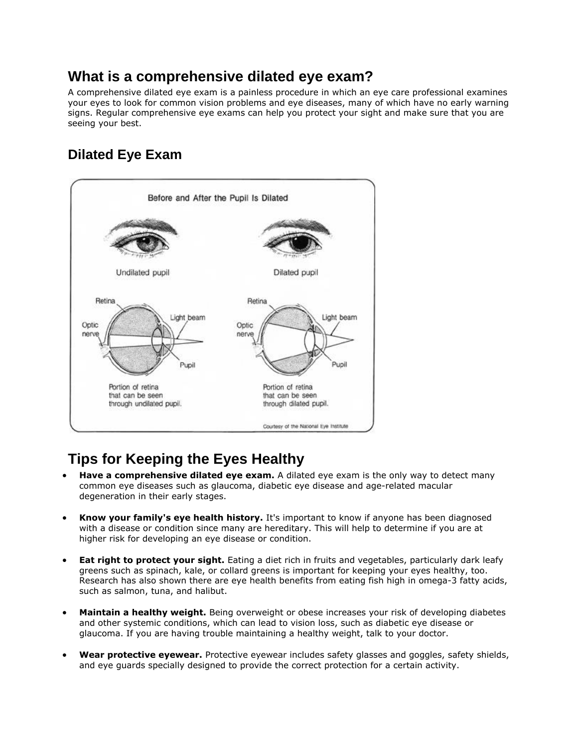## **What is a comprehensive dilated eye exam?**

A comprehensive dilated eye exam is a painless procedure in which an eye care professional examines your eyes to look for common vision problems and eye diseases, many of which have no early warning signs. Regular comprehensive eye exams can help you protect your sight and make sure that you are seeing your best.

# **Dilated Eye Exam**



# **Tips for Keeping the Eyes Healthy**

- **Have a comprehensive dilated eye exam.** A dilated eye exam is the only way to detect many common eye diseases such as glaucoma, diabetic eye disease and age-related macular degeneration in their early stages.
- **Know your family's eye health history.** It's important to know if anyone has been diagnosed with a disease or condition since many are hereditary. This will help to determine if you are at higher risk for developing an eye disease or condition.
- **Eat right to protect your sight.** Eating a diet rich in fruits and vegetables, particularly dark leafy greens such as spinach, kale, or collard greens is important for keeping your eyes healthy, too. Research has also shown there are eye health benefits from eating fish high in omega-3 fatty acids, such as salmon, tuna, and halibut.
- **Maintain a healthy weight.** Being overweight or obese increases your risk of developing diabetes and other systemic conditions, which can lead to vision loss, such as diabetic eye disease or glaucoma. If you are having trouble maintaining a healthy weight, talk to your doctor.
- **Wear protective eyewear.** Protective eyewear includes safety glasses and goggles, safety shields, and eye guards specially designed to provide the correct protection for a certain activity.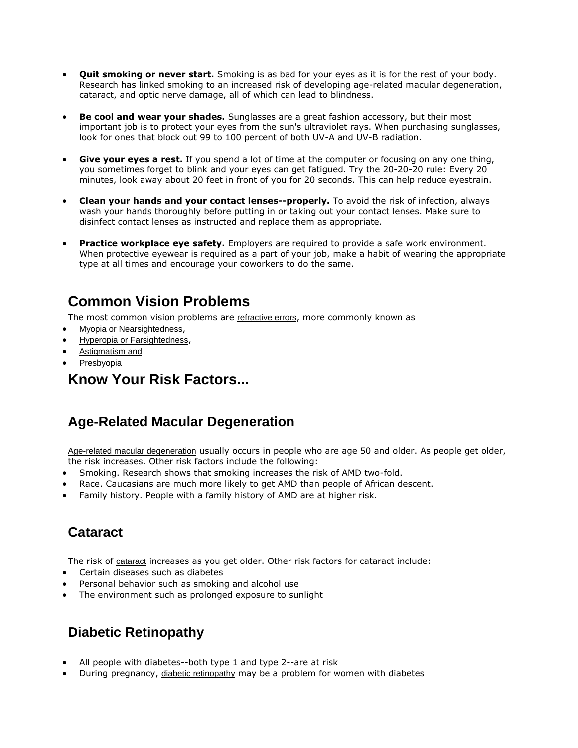- **Quit smoking or never start.** Smoking is as bad for your eyes as it is for the rest of your body. Research has linked smoking to an increased risk of developing age-related macular degeneration, cataract, and optic nerve damage, all of which can lead to blindness.
- **Be cool and wear your shades.** Sunglasses are a great fashion accessory, but their most important job is to protect your eyes from the sun's ultraviolet rays. When purchasing sunglasses, look for ones that block out 99 to 100 percent of both UV-A and UV-B radiation.
- **Give your eyes a rest.** If you spend a lot of time at the computer or focusing on any one thing, you sometimes forget to blink and your eyes can get fatigued. Try the 20-20-20 rule: Every 20 minutes, look away about 20 feet in front of you for 20 seconds. This can help reduce eyestrain.
- **Clean your hands and your contact lenses--properly.** To avoid the risk of infection, always wash your hands thoroughly before putting in or taking out your contact lenses. Make sure to disinfect contact lenses as instructed and replace them as appropriate.
- **Practice workplace eye safety.** Employers are required to provide a safe work environment. When protective eyewear is required as a part of your job, make a habit of wearing the appropriate type at all times and encourage your coworkers to do the same.

# **Common Vision Problems**

The most common vision problems are [refractive errors](http://www.nei.nih.gov/health/errors/errors.asp), more commonly known as

- [Myopia or Nearsightedness](http://www.nei.nih.gov/health/errors/myopia.asp),
- [Hyperopia or Farsightedness](http://www.nei.nih.gov/health/errors/hyperopia.asp),
- [Astigmatism and](http://www.nei.nih.gov/health/errors/astigmatism.asp)
- [Presbyopia](http://www.nei.nih.gov/health/errors/presbyopia.asp)

#### **Know Your Risk Factors...**

#### **Age-Related Macular [Degeneration](http://www.nei.nih.gov/health/maculardegen/index.asp)**

[Age-related macular degeneration](http://www.nei.nih.gov/health/maculardegen/index.asp) usually occurs in people who are age 50 and older. As people get older, the risk increases. Other risk factors include the following:

- Smoking. Research shows that smoking increases the risk of AMD two-fold.
- Race. Caucasians are much more likely to get AMD than people of African descent.
- Family history. People with a family history of AMD are at higher risk.

## **[Cataract](http://www.nei.nih.gov/health/cataract/)**

The risk of [cataract](http://www.nei.nih.gov/health/cataract/) increases as you get older. Other risk factors for cataract include:

- Certain diseases such as diabetes
- Personal behavior such as smoking and alcohol use
- [The environment such as prolonged exposure to sunlight](http://www.nei.nih.gov/health/diabetic/)

## **Diabetic [Retinopathy](http://www.nei.nih.gov/health/diabetic/)**

- All people with diabetes--both type 1 and type 2--are at risk
- During pregnancy, [diabetic retinopathy](http://www.nei.nih.gov/health/diabetic/) may be a problem for women with diabetes